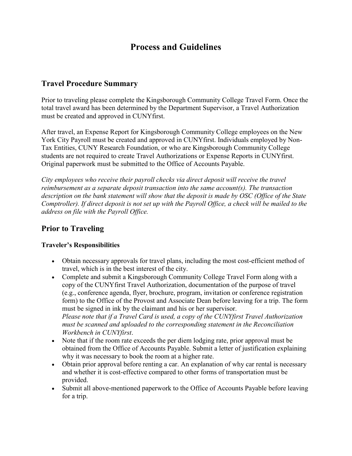# **Process and Guidelines**

### **Travel Procedure Summary**

Prior to traveling please complete the Kingsborough Community College Travel Form. Once the total travel award has been determined by the Department Supervisor, a Travel Authorization must be created and approved in CUNYfirst.

After travel, an Expense Report for Kingsborough Community College employees on the New York City Payroll must be created and approved in CUNYfirst. Individuals employed by Non-Tax Entities, CUNY Research Foundation, or who are Kingsborough Community College students are not required to create Travel Authorizations or Expense Reports in CUNYfirst. Original paperwork must be submitted to the Office of Accounts Payable.

*City employees who receive their payroll checks via direct deposit will receive the travel reimbursement as a separate deposit transaction into the same account(s). The transaction description on the bank statement will show that the deposit is made by OSC (Office of the State Comptroller). If direct deposit is not set up with the Payroll Office, a check will be mailed to the address on file with the Payroll Office.*

### **Prior to Traveling**

#### **Traveler's Responsibilities**

- Obtain necessary approvals for travel plans, including the most cost-efficient method of travel, which is in the best interest of the city.
- Complete and submit a Kingsborough Community College Travel Form along with a copy of the CUNYfirst Travel Authorization, documentation of the purpose of travel (e.g., conference agenda, flyer, brochure, program, invitation or conference registration form) to the Office of the Provost and Associate Dean before leaving for a trip. The form must be signed in ink by the claimant and his or her supervisor. *Please note that if a Travel Card is used, a copy of the CUNYfirst Travel Authorization must be scanned and uploaded to the corresponding statement in the Reconciliation Workbench in CUNYfirst*.
- Note that if the room rate exceeds the per diem lodging rate, prior approval must be obtained from the Office of Accounts Payable. Submit a letter of justification explaining why it was necessary to book the room at a higher rate.
- Obtain prior approval before renting a car. An explanation of why car rental is necessary and whether it is cost-effective compared to other forms of transportation must be provided.
- Submit all above-mentioned paperwork to the Office of Accounts Payable before leaving for a trip.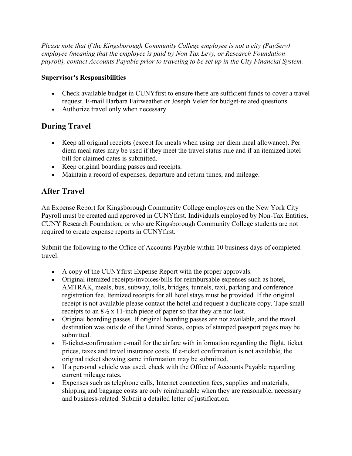*Please note that if the Kingsborough Community College employee is not a city (PayServ) employee (meaning that the employee is paid by Non Tax Levy, or Research Foundation payroll), contact Accounts Payable prior to traveling to be set up in the City Financial System.* 

#### **Supervisor's Responsibilities**

- Check available budget in CUNYfirst to ensure there are sufficient funds to cover a travel request. E-mail Barbara Fairweather or Joseph Velez for budget-related questions.
- Authorize travel only when necessary.

# **During Travel**

- Keep all original receipts (except for meals when using per diem meal allowance). Per diem meal rates may be used if they meet the travel status rule and if an itemized hotel bill for claimed dates is submitted.
- Keep original boarding passes and receipts.
- Maintain a record of expenses, departure and return times, and mileage.

## **After Travel**

An Expense Report for Kingsborough Community College employees on the New York City Payroll must be created and approved in CUNYfirst. Individuals employed by Non-Tax Entities, CUNY Research Foundation, or who are Kingsborough Community College students are not required to create expense reports in CUNYfirst.

Submit the following to the Office of Accounts Payable within 10 business days of completed travel:

- A copy of the CUNYfirst Expense Report with the proper approvals.
- Original itemized receipts/invoices/bills for reimbursable expenses such as hotel, AMTRAK, meals, bus, subway, tolls, bridges, tunnels, taxi, parking and conference registration fee. Itemized receipts for all hotel stays must be provided. If the original receipt is not available please contact the hotel and request a duplicate copy. Tape small receipts to an 8½ x 11-inch piece of paper so that they are not lost.
- Original boarding passes. If original boarding passes are not available, and the travel destination was outside of the United States, copies of stamped passport pages may be submitted.
- E-ticket-confirmation e-mail for the airfare with information regarding the flight, ticket prices, taxes and travel insurance costs. If e-ticket confirmation is not available, the original ticket showing same information may be submitted.
- If a personal vehicle was used, check with the Office of Accounts Payable regarding current mileage rates.
- Expenses such as telephone calls, Internet connection fees, supplies and materials, shipping and baggage costs are only reimbursable when they are reasonable, necessary and business-related. Submit a detailed letter of justification.